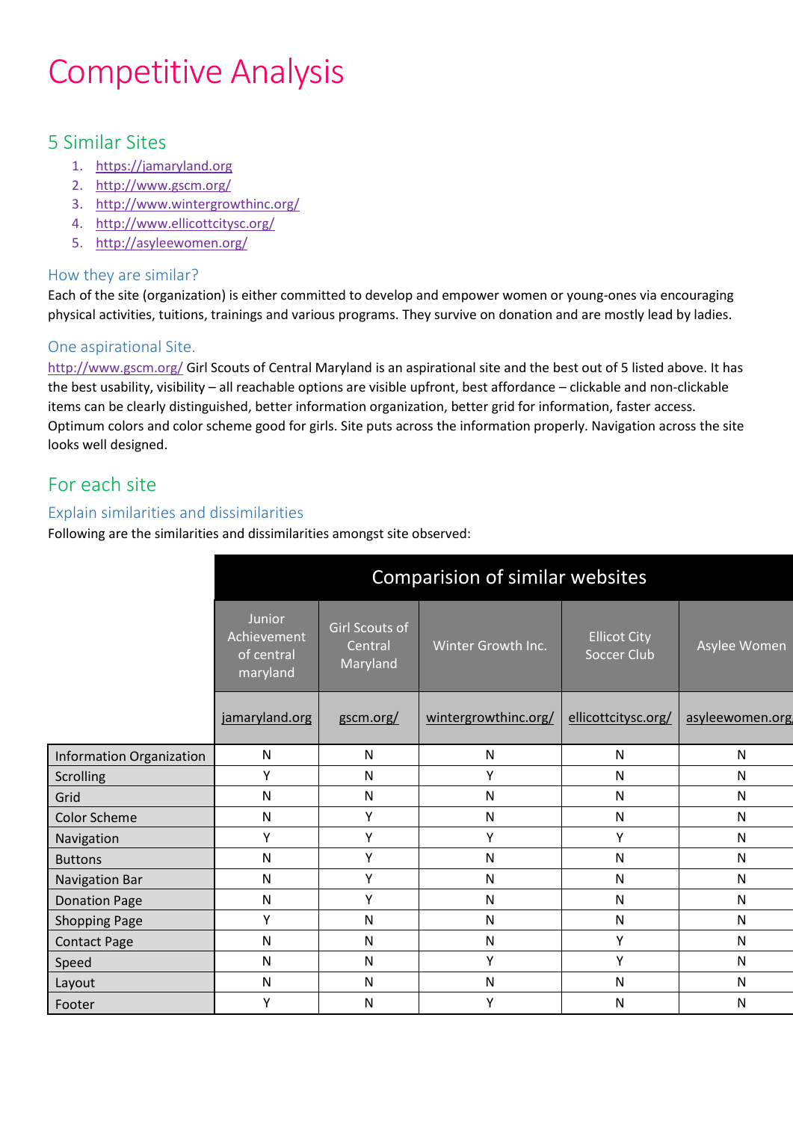# Competitive Analysis

## 5 Similar Sites

- 1. [https://jamaryland.org](https://jamaryland.org/)
- 2. <http://www.gscm.org/>
- 3. <http://www.wintergrowthinc.org/>
- 4. <http://www.ellicottcitysc.org/>
- 5. <http://asyleewomen.org/>

#### How they are similar?

Each of the site (organization) is either committed to develop and empower women or young-ones via encouraging physical activities, tuitions, trainings and various programs. They survive on donation and are mostly lead by ladies.

#### One aspirational Site.

<http://www.gscm.org/> Girl Scouts of Central Maryland is an aspirational site and the best out of 5 listed above. It has the best usability, visibility – all reachable options are visible upfront, best affordance – clickable and non-clickable items can be clearly distinguished, better information organization, better grid for information, faster access. Optimum colors and color scheme good for girls. Site puts across the information properly. Navigation across the site looks well designed.

## For each site

### Explain similarities and dissimilarities

Following are the similarities and dissimilarities amongst site observed:

|                          | Comparision of similar websites                        |                                       |                      |                                           |                 |
|--------------------------|--------------------------------------------------------|---------------------------------------|----------------------|-------------------------------------------|-----------------|
|                          | <b>Junior</b><br>Achievement<br>of central<br>maryland | Girl Scouts of<br>Central<br>Maryland | Winter Growth Inc.   | <b>Ellicot City</b><br><b>Soccer Club</b> | Asylee Women    |
|                          | jamaryland.org                                         | gscm.org/                             | wintergrowthinc.org/ | ellicottcitysc.org/                       | asyleewomen.org |
| Information Organization | N                                                      | N                                     | N                    | N                                         | N               |
| <b>Scrolling</b>         | Y                                                      | $\mathsf{N}$                          | Y                    | N                                         | $\mathsf{N}$    |
| Grid                     | N                                                      | ${\sf N}$                             | $\mathsf{N}$         | N                                         | $\mathsf{N}$    |
| <b>Color Scheme</b>      | N                                                      | Y                                     | N                    | N                                         | $\mathsf{N}$    |
| Navigation               | Y                                                      | Υ                                     | Y                    | Y                                         | N               |
| <b>Buttons</b>           | N                                                      | Υ                                     | $\mathsf{N}$         | $\mathsf{N}$                              | $\mathsf{N}$    |
| <b>Navigation Bar</b>    | N                                                      | Υ                                     | N                    | N                                         | $\mathsf{N}$    |
| <b>Donation Page</b>     | $\mathsf{N}$                                           | Υ                                     | $\mathsf{N}$         | $\mathsf{N}$                              | $\mathsf{N}$    |
| <b>Shopping Page</b>     | Υ                                                      | $\mathsf{N}$                          | $\mathsf{N}$         | $\mathsf{N}$                              | $\mathsf{N}$    |
| <b>Contact Page</b>      | N                                                      | N                                     | N                    | Y                                         | $\mathsf{N}$    |
| Speed                    | N                                                      | $\mathsf{N}$                          | Y                    | Y                                         | $\mathsf{N}$    |
| Layout                   | N                                                      | $\mathsf{N}$                          | $\mathsf{N}$         | N                                         | $\mathsf{N}$    |
| Footer                   | Υ                                                      | N                                     | Y                    | N                                         | $\mathsf{N}$    |